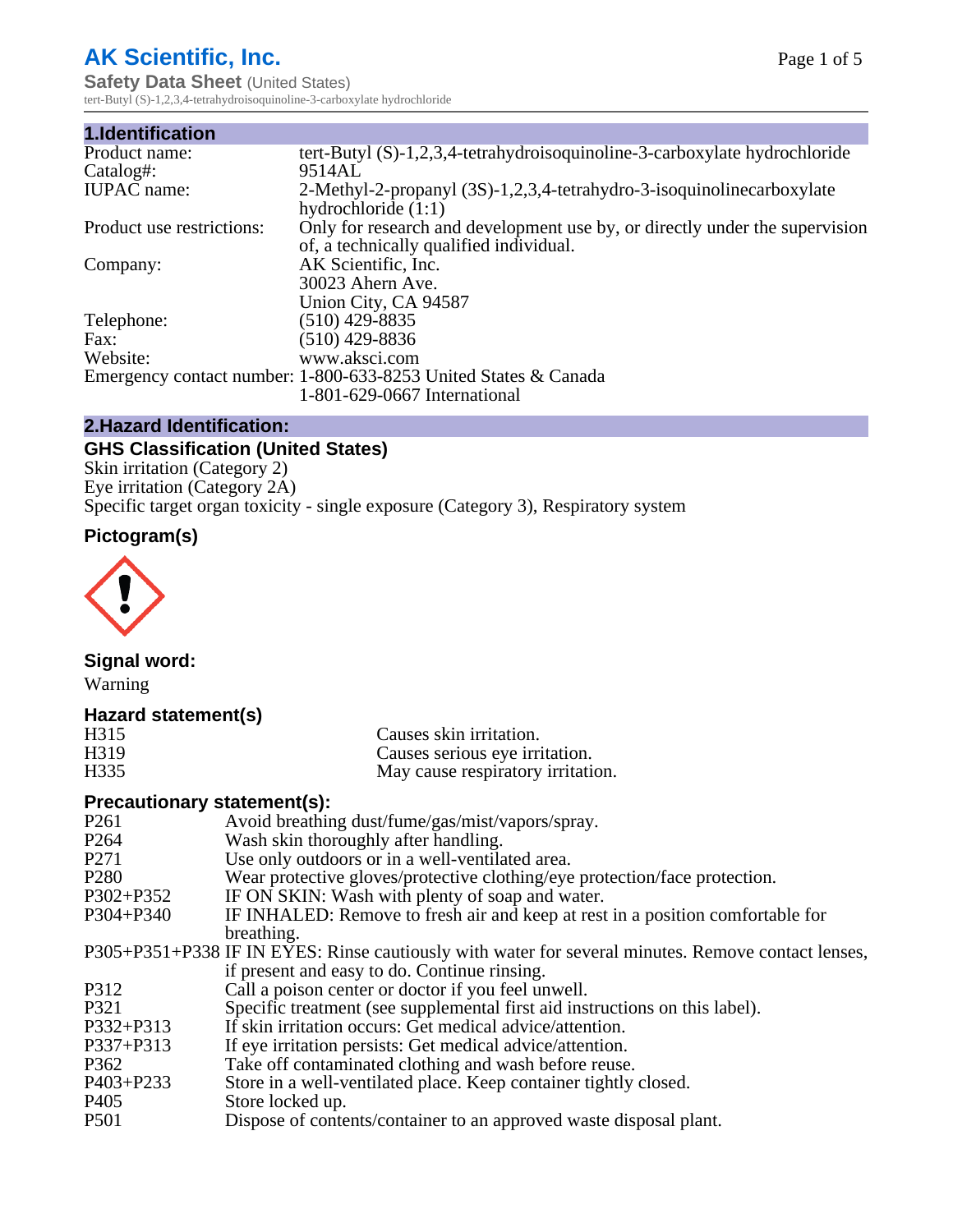# **AK Scientific, Inc.**

**Safety Data Sheet (United States)** tert-Butyl (S)-1,2,3,4-tetrahydroisoquinoline-3-carboxylate hydrochloride

| 1.Identification          |                                                                                                                        |
|---------------------------|------------------------------------------------------------------------------------------------------------------------|
| Product name:             | tert-Butyl $(S)-1,2,3,4$ -tetrahydroisoquinoline-3-carboxylate hydrochloride                                           |
| Catalog#:                 | 9514AL                                                                                                                 |
| <b>IUPAC</b> name:        | 2-Methyl-2-propanyl (3S)-1,2,3,4-tetrahydro-3-isoquinolinecarboxylate<br>hydrochloride $(1:1)$                         |
| Product use restrictions: | Only for research and development use by, or directly under the supervision<br>of, a technically qualified individual. |
| Company:                  | AK Scientific, Inc.<br>30023 Ahern Ave.<br>Union City, CA 94587                                                        |
| Telephone:                | $(510)$ 429-8835                                                                                                       |
| Fax:                      | (510) 429-8836                                                                                                         |
| Website:                  | www.aksci.com                                                                                                          |
|                           | Emergency contact number: 1-800-633-8253 United States & Canada                                                        |
|                           | 1-801-629-0667 International                                                                                           |

### **2.Hazard Identification:**

# **GHS Classification (United States)**

Skin irritation (Category 2) Eye irritation (Category 2A) Specific target organ toxicity - single exposure (Category 3), Respiratory system

# **Pictogram(s)**



# **Signal word:**

Warning

## **Hazard statement(s)**

| H315              | Causes skin irritation.           |
|-------------------|-----------------------------------|
| H <sub>3</sub> 19 | Causes serious eye irritation.    |
| H335              | May cause respiratory irritation. |

## **Precautionary statement(s):**

| P <sub>261</sub> | Avoid breathing dust/fume/gas/mist/vapors/spray.                                                   |
|------------------|----------------------------------------------------------------------------------------------------|
| P <sub>264</sub> | Wash skin thoroughly after handling.                                                               |
| P <sub>271</sub> | Use only outdoors or in a well-ventilated area.                                                    |
| P <sub>280</sub> | Wear protective gloves/protective clothing/eye protection/face protection.                         |
| P302+P352        | IF ON SKIN: Wash with plenty of soap and water.                                                    |
| $P304 + P340$    | IF INHALED: Remove to fresh air and keep at rest in a position comfortable for                     |
|                  | breathing.                                                                                         |
|                  | P305+P351+P338 IF IN EYES: Rinse cautiously with water for several minutes. Remove contact lenses, |
|                  | if present and easy to do. Continue rinsing.                                                       |
| P312             | Call a poison center or doctor if you feel unwell.                                                 |
| P321             | Specific treatment (see supplemental first aid instructions on this label).                        |
| P332+P313        | If skin irritation occurs: Get medical advice/attention.                                           |
| P337+P313        | If eye irritation persists: Get medical advice/attention.                                          |
| P362             | Take off contaminated clothing and wash before reuse.                                              |
| P403+P233        | Store in a well-ventilated place. Keep container tightly closed.                                   |
| P <sub>405</sub> | Store locked up.                                                                                   |
| P <sub>501</sub> | Dispose of contents/container to an approved waste disposal plant.                                 |
|                  |                                                                                                    |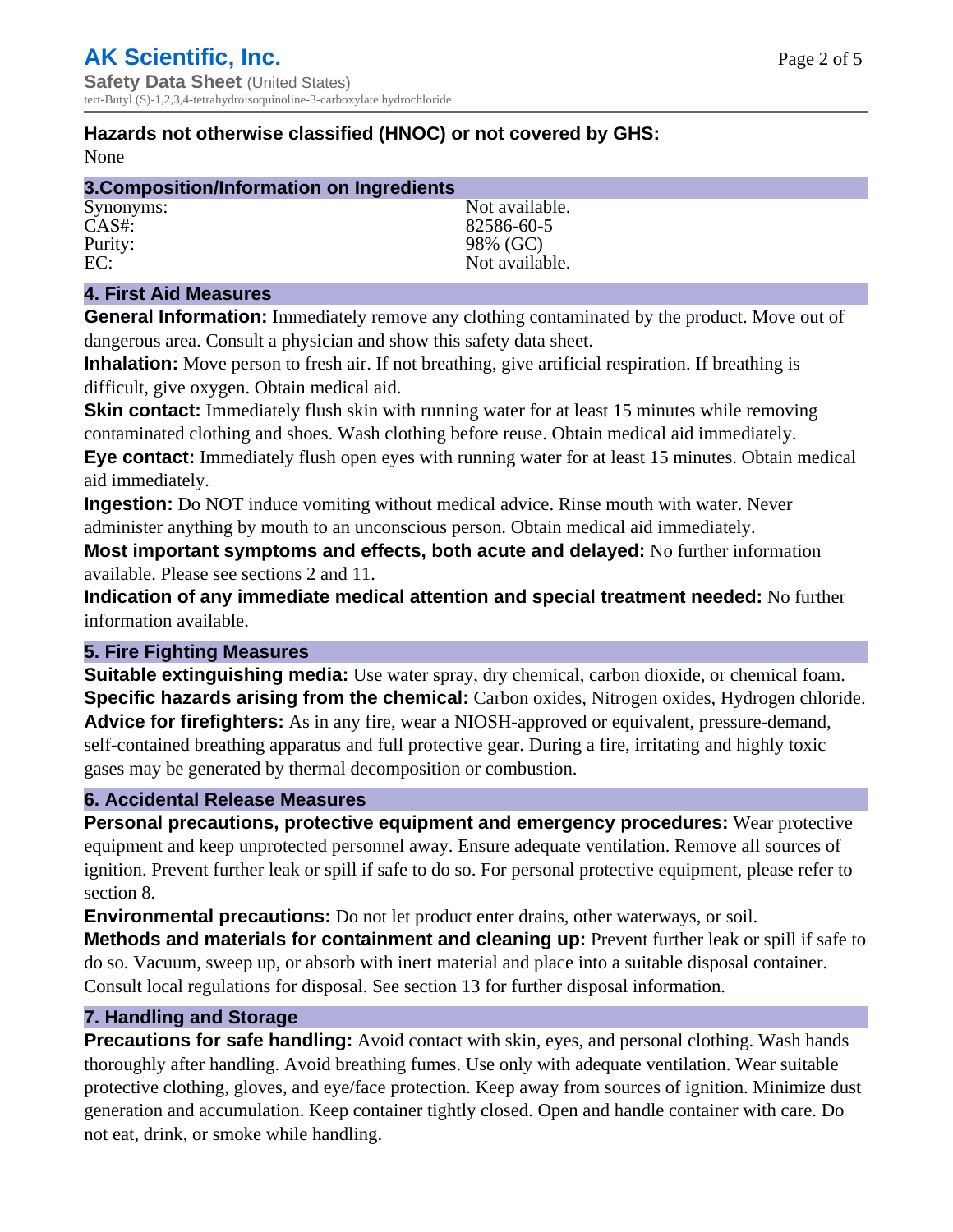# **Hazards not otherwise classified (HNOC) or not covered by GHS:**

None

| 3. Composition/Information on Ingredients |                |
|-------------------------------------------|----------------|
| Synonyms:                                 | Not available. |
| $CAS#$ :                                  | 82586-60-5     |
| Purity:                                   | 98% (GC)       |
| EC:                                       | Not available. |

## **4. First Aid Measures**

**General Information:** Immediately remove any clothing contaminated by the product. Move out of dangerous area. Consult a physician and show this safety data sheet.

**Inhalation:** Move person to fresh air. If not breathing, give artificial respiration. If breathing is difficult, give oxygen. Obtain medical aid.

**Skin contact:** Immediately flush skin with running water for at least 15 minutes while removing contaminated clothing and shoes. Wash clothing before reuse. Obtain medical aid immediately. **Eye contact:** Immediately flush open eyes with running water for at least 15 minutes. Obtain medical aid immediately.

**Ingestion:** Do NOT induce vomiting without medical advice. Rinse mouth with water. Never administer anything by mouth to an unconscious person. Obtain medical aid immediately.

**Most important symptoms and effects, both acute and delayed:** No further information available. Please see sections 2 and 11.

**Indication of any immediate medical attention and special treatment needed:** No further information available.

#### **5. Fire Fighting Measures**

**Suitable extinguishing media:** Use water spray, dry chemical, carbon dioxide, or chemical foam. **Specific hazards arising from the chemical:** Carbon oxides, Nitrogen oxides, Hydrogen chloride. **Advice for firefighters:** As in any fire, wear a NIOSH-approved or equivalent, pressure-demand, self-contained breathing apparatus and full protective gear. During a fire, irritating and highly toxic gases may be generated by thermal decomposition or combustion.

#### **6. Accidental Release Measures**

**Personal precautions, protective equipment and emergency procedures:** Wear protective equipment and keep unprotected personnel away. Ensure adequate ventilation. Remove all sources of ignition. Prevent further leak or spill if safe to do so. For personal protective equipment, please refer to section 8.

**Environmental precautions:** Do not let product enter drains, other waterways, or soil.

**Methods and materials for containment and cleaning up:** Prevent further leak or spill if safe to do so. Vacuum, sweep up, or absorb with inert material and place into a suitable disposal container. Consult local regulations for disposal. See section 13 for further disposal information.

#### **7. Handling and Storage**

**Precautions for safe handling:** Avoid contact with skin, eyes, and personal clothing. Wash hands thoroughly after handling. Avoid breathing fumes. Use only with adequate ventilation. Wear suitable protective clothing, gloves, and eye/face protection. Keep away from sources of ignition. Minimize dust generation and accumulation. Keep container tightly closed. Open and handle container with care. Do not eat, drink, or smoke while handling.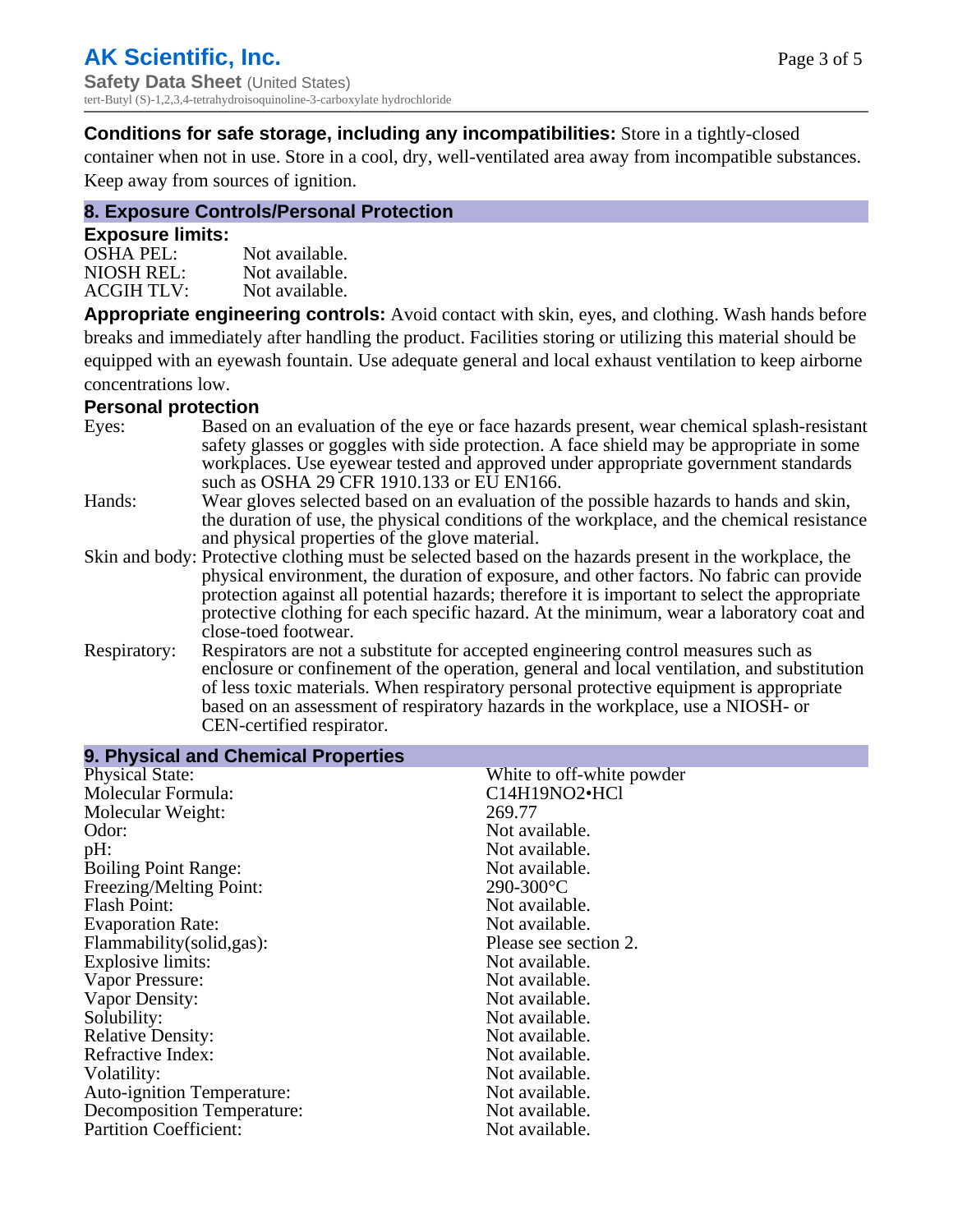## **Conditions for safe storage, including any incompatibilities:** Store in a tightly-closed

container when not in use. Store in a cool, dry, well-ventilated area away from incompatible substances. Keep away from sources of ignition.

#### **8. Exposure Controls/Personal Protection**

#### **Exposure limits:**

| <b>OSHA PEL:</b>  | Not available. |
|-------------------|----------------|
| NIOSH REL:        | Not available. |
| <b>ACGIH TLV:</b> | Not available. |

**Appropriate engineering controls:** Avoid contact with skin, eyes, and clothing. Wash hands before breaks and immediately after handling the product. Facilities storing or utilizing this material should be equipped with an eyewash fountain. Use adequate general and local exhaust ventilation to keep airborne concentrations low.

#### **Personal protection**

| Eyes:        | Based on an evaluation of the eye or face hazards present, wear chemical splash-resistant<br>safety glasses or goggles with side protection. A face shield may be appropriate in some<br>workplaces. Use eyewear tested and approved under appropriate government standards<br>such as OSHA 29 CFR 1910.133 or EU EN166.                                                                                                |
|--------------|-------------------------------------------------------------------------------------------------------------------------------------------------------------------------------------------------------------------------------------------------------------------------------------------------------------------------------------------------------------------------------------------------------------------------|
| Hands:       | Wear gloves selected based on an evaluation of the possible hazards to hands and skin,<br>the duration of use, the physical conditions of the workplace, and the chemical resistance<br>and physical properties of the glove material.                                                                                                                                                                                  |
|              | Skin and body: Protective clothing must be selected based on the hazards present in the workplace, the<br>physical environment, the duration of exposure, and other factors. No fabric can provide<br>protection against all potential hazards; therefore it is important to select the appropriate<br>protective clothing for each specific hazard. At the minimum, wear a laboratory coat and<br>close-toed footwear. |
| Respiratory: | Respirators are not a substitute for accepted engineering control measures such as<br>enclosure or confinement of the operation, general and local ventilation, and substitution<br>of less toxic materials. When respiratory personal protective equipment is appropriate<br>based on an assessment of respiratory hazards in the workplace, use a NIOSH- or<br>CEN-certified respirator.                              |

| 9. Physical and Chemical Properties |                           |
|-------------------------------------|---------------------------|
| <b>Physical State:</b>              | White to off-white powder |
| Molecular Formula:                  | C14H19NO2•HCl             |
| Molecular Weight:                   | 269.77                    |
| Odor:                               | Not available.            |
| pH:                                 | Not available.            |
| <b>Boiling Point Range:</b>         | Not available.            |
| Freezing/Melting Point:             | 290-300°C                 |
| <b>Flash Point:</b>                 | Not available.            |
| <b>Evaporation Rate:</b>            | Not available.            |
| Flammability(solid,gas):            | Please see section 2.     |
| <b>Explosive limits:</b>            | Not available.            |
| Vapor Pressure:                     | Not available.            |
| Vapor Density:                      | Not available.            |
| Solubility:                         | Not available.            |
| <b>Relative Density:</b>            | Not available.            |
| Refractive Index:                   | Not available.            |
| Volatility:                         | Not available.            |
| <b>Auto-ignition Temperature:</b>   | Not available.            |
| <b>Decomposition Temperature:</b>   | Not available.            |
| <b>Partition Coefficient:</b>       | Not available.            |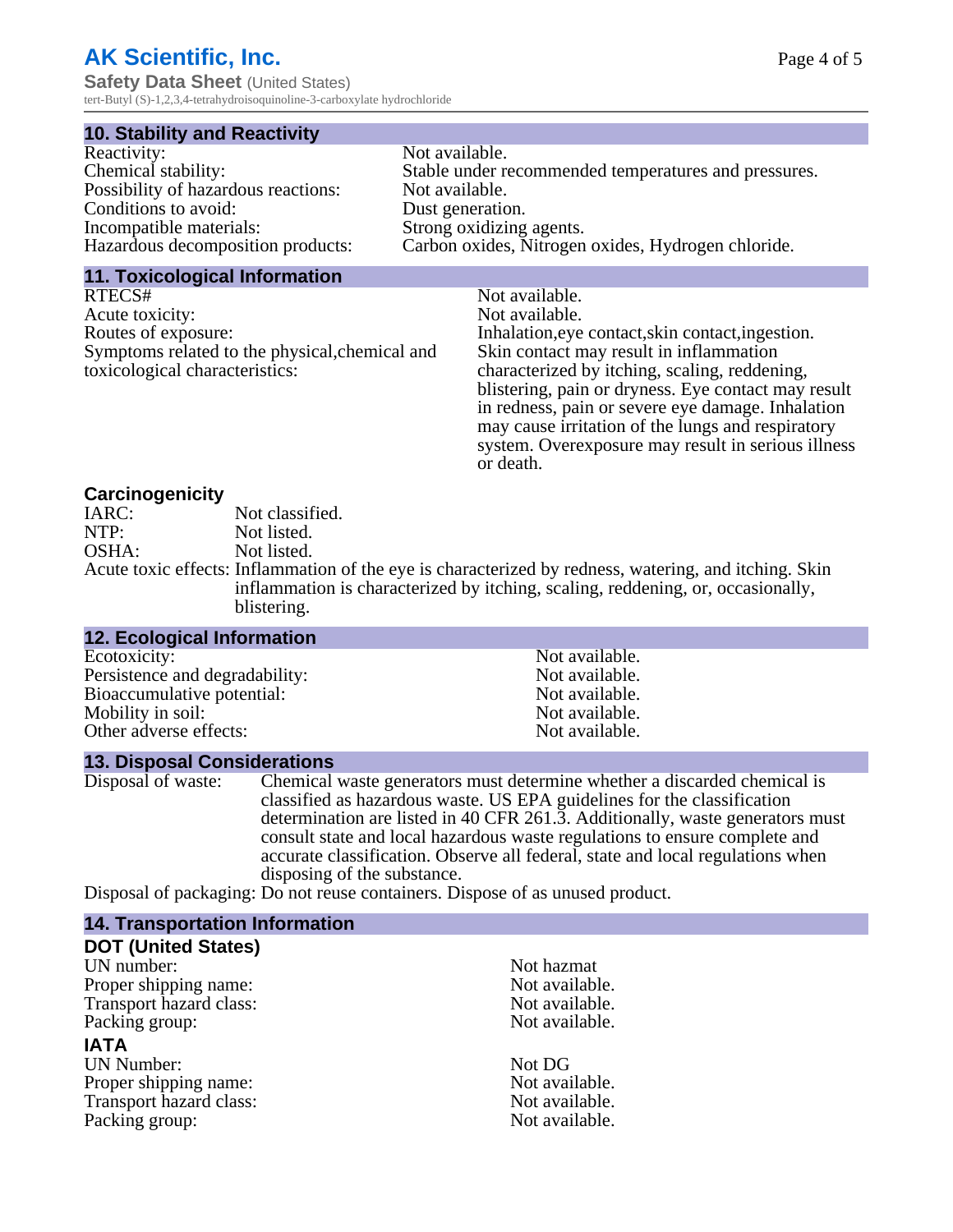# **AK Scientific, Inc.**

**Safety Data Sheet** (United States) tert-Butyl (S)-1,2,3,4-tetrahydroisoquinoline-3-carboxylate hydrochloride

#### **10. Stability and Reactivity**

| Reactivity:                         | Not available.                                       |
|-------------------------------------|------------------------------------------------------|
| Chemical stability:                 | Stable under recommended temperatures and pressures. |
| Possibility of hazardous reactions: | Not available.                                       |
| Conditions to avoid:                | Dust generation.                                     |
| Incompatible materials:             | Strong oxidizing agents.                             |
| Hazardous decomposition products:   | Carbon oxides, Nitrogen oxides, Hydrogen chloride.   |

#### **11. Toxicological Information**

| RTECS#                                         | Not available.                                      |
|------------------------------------------------|-----------------------------------------------------|
| Acute toxicity:                                | Not available.                                      |
| Routes of exposure:                            | Inhalation, eye contact, skin contact, ingestion.   |
| Symptoms related to the physical, chemical and | Skin contact may result in inflammation             |
| toxicological characteristics:                 | characterized by itching, scaling, reddening,       |
|                                                | blistering, pain or dryness. Eye contact may result |
|                                                | in redness, pain or severe eye damage. Inhalation   |
|                                                | may cause irritation of the lungs and respiratory   |
|                                                | system. Overexposure may result in serious illness  |

or death.

#### **Carcinogenicity**

| IARC: | Not classified.                                                                                       |
|-------|-------------------------------------------------------------------------------------------------------|
| NTP:  | Not listed.                                                                                           |
| OSHA: | Not listed.                                                                                           |
|       | Acute toxic effects: Inflammation of the eye is characterized by redness, watering, and itching. Skin |
|       | inflammation is characterized by itching, scaling, reddening, or, occasionally,                       |
|       | blistering.                                                                                           |

| 12. Ecological Information     |                |  |
|--------------------------------|----------------|--|
| Ecotoxicity:                   | Not available. |  |
| Persistence and degradability: | Not available. |  |
| Bioaccumulative potential:     | Not available. |  |
| Mobility in soil:              | Not available. |  |
| Other adverse effects:         | Not available. |  |

#### **13. Disposal Considerations**

Disposal of waste: Chemical waste generators must determine whether a discarded chemical is classified as hazardous waste. US EPA guidelines for the classification determination are listed in 40 CFR 261.3. Additionally, waste generators must consult state and local hazardous waste regulations to ensure complete and accurate classification. Observe all federal, state and local regulations when disposing of the substance.

Disposal of packaging: Do not reuse containers. Dispose of as unused product.

| Not hazmat     |
|----------------|
| Not available. |
| Not available. |
| Not available. |
|                |
| Not DG         |
| Not available. |
| Not available. |
| Not available. |
|                |